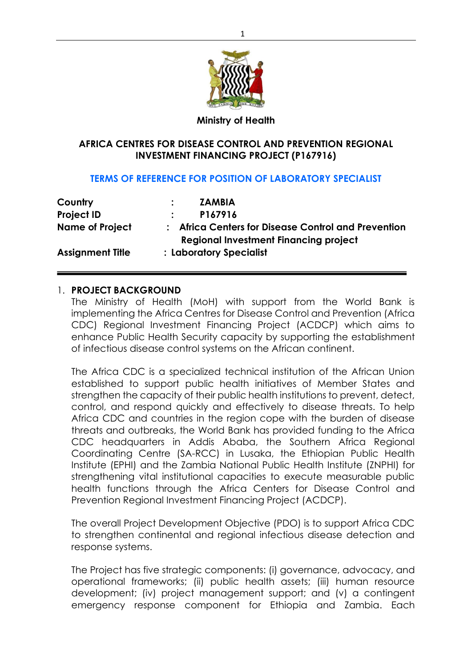

### **Ministry of Health**

## **AFRICA CENTRES FOR DISEASE CONTROL AND PREVENTION REGIONAL INVESTMENT FINANCING PROJECT (P167916)**

### **TERMS OF REFERENCE FOR POSITION OF LABORATORY SPECIALIST**

| Country                 | <b>ZAMBIA</b>                                                                                       |
|-------------------------|-----------------------------------------------------------------------------------------------------|
| <b>Project ID</b>       | P167916                                                                                             |
| <b>Name of Project</b>  | : Africa Centers for Disease Control and Prevention<br><b>Regional Investment Financing project</b> |
| <b>Assignment Title</b> | : Laboratory Specialist                                                                             |

### 1. **PROJECT BACKGROUND**

The Ministry of Health (MoH) with support from the World Bank is implementing the Africa Centres for Disease Control and Prevention (Africa CDC) Regional Investment Financing Project (ACDCP) which aims to enhance Public Health Security capacity by supporting the establishment of infectious disease control systems on the African continent.

The Africa CDC is a specialized technical institution of the African Union established to support public health initiatives of Member States and strengthen the capacity of their public health institutions to prevent, detect, control, and respond quickly and effectively to disease threats. To help Africa CDC and countries in the region cope with the burden of disease threats and outbreaks, the World Bank has provided funding to the Africa CDC headquarters in Addis Ababa, the Southern Africa Regional Coordinating Centre (SA-RCC) in Lusaka, the Ethiopian Public Health Institute (EPHI) and the Zambia National Public Health Institute (ZNPHI) for strengthening vital institutional capacities to execute measurable public health functions through the Africa Centers for Disease Control and Prevention Regional Investment Financing Project (ACDCP).

The overall Project Development Objective (PDO) is to support Africa CDC to strengthen continental and regional infectious disease detection and response systems.

The Project has five strategic components: (i) governance, advocacy, and operational frameworks; (ii) public health assets; (iii) human resource development; (iv) project management support; and (v) a contingent emergency response component for Ethiopia and Zambia. Each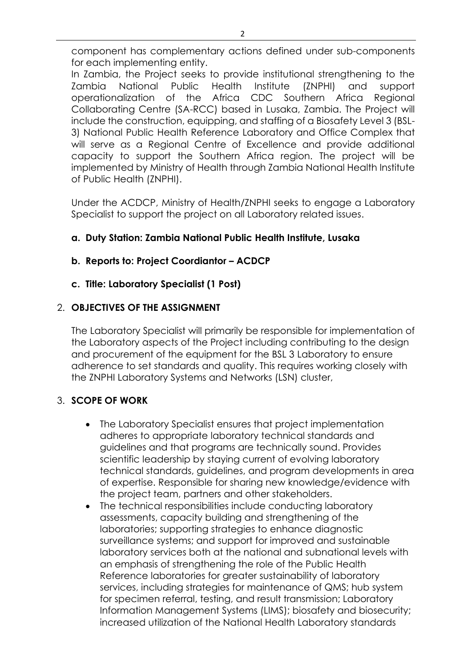component has complementary actions defined under sub-components for each implementing entity.

In Zambia, the Project seeks to provide institutional strengthening to the Zambia National Public Health Institute (ZNPHI) and support operationalization of the Africa CDC Southern Africa Regional Collaborating Centre (SA-RCC) based in Lusaka, Zambia. The Project will include the construction, equipping, and staffing of a Biosafety Level 3 (BSL-3) National Public Health Reference Laboratory and Office Complex that will serve as a Regional Centre of Excellence and provide additional capacity to support the Southern Africa region. The project will be implemented by Ministry of Health through Zambia National Health Institute of Public Health (ZNPHI).

Under the ACDCP, Ministry of Health/ZNPHI seeks to engage a Laboratory Specialist to support the project on all Laboratory related issues.

## **a. Duty Station: Zambia National Public Health Institute, Lusaka**

## **b. Reports to: Project Coordiantor – ACDCP**

## **c. Title: Laboratory Specialist (1 Post)**

## 2. **OBJECTIVES OF THE ASSIGNMENT**

The Laboratory Specialist will primarily be responsible for implementation of the Laboratory aspects of the Project including contributing to the design and procurement of the equipment for the BSL 3 Laboratory to ensure adherence to set standards and quality. This requires working closely with the ZNPHI Laboratory Systems and Networks (LSN) cluster,

## 3. **SCOPE OF WORK**

- The Laboratory Specialist ensures that project implementation adheres to appropriate laboratory technical standards and guidelines and that programs are technically sound. Provides scientific leadership by staying current of evolving laboratory technical standards, guidelines, and program developments in area of expertise. Responsible for sharing new knowledge/evidence with the project team, partners and other stakeholders.
- The technical responsibilities include conducting laboratory assessments, capacity building and strengthening of the laboratories; supporting strategies to enhance diagnostic surveillance systems; and support for improved and sustainable laboratory services both at the national and subnational levels with an emphasis of strengthening the role of the Public Health Reference laboratories for greater sustainability of laboratory services, including strategies for maintenance of QMS; hub system for specimen referral, testing, and result transmission; Laboratory Information Management Systems (LIMS); biosafety and biosecurity; increased utilization of the National Health Laboratory standards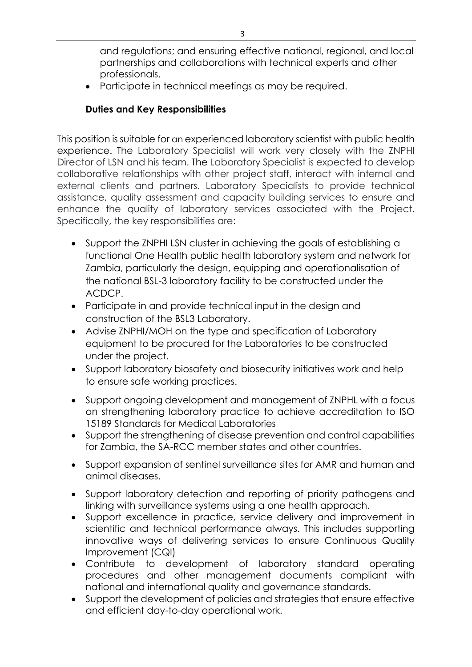and regulations; and ensuring effective national, regional, and local partnerships and collaborations with technical experts and other professionals.

• Participate in technical meetings as may be required.

## **Duties and Key Responsibilities**

This position is suitable for an experienced laboratory scientist with public health experience. The Laboratory Specialist will work very closely with the ZNPHI Director of LSN and his team. The Laboratory Specialist is expected to develop collaborative relationships with other project staff, interact with internal and external clients and partners. Laboratory Specialists to provide technical assistance, quality assessment and capacity building services to ensure and enhance the quality of laboratory services associated with the Project. Specifically, the key responsibilities are:

- Support the ZNPHI LSN cluster in achieving the goals of establishing a functional One Health public health laboratory system and network for Zambia, particularly the design, equipping and operationalisation of the national BSL-3 laboratory facility to be constructed under the ACDCP.
- Participate in and provide technical input in the design and construction of the BSL3 Laboratory.
- Advise ZNPHI/MOH on the type and specification of Laboratory equipment to be procured for the Laboratories to be constructed under the project.
- Support laboratory biosafety and biosecurity initiatives work and help to ensure safe working practices.
- Support ongoing development and management of ZNPHL with a focus on strengthening laboratory practice to achieve accreditation to ISO 15189 Standards for Medical Laboratories
- Support the strengthening of disease prevention and control capabilities for Zambia, the SA-RCC member states and other countries.
- Support expansion of sentinel surveillance sites for AMR and human and animal diseases.
- Support laboratory detection and reporting of priority pathogens and linking with surveillance systems using a one health approach.
- Support excellence in practice, service delivery and improvement in scientific and technical performance always. This includes supporting innovative ways of delivering services to ensure Continuous Quality Improvement (CQI)
- Contribute to development of laboratory standard operating procedures and other management documents compliant with national and international quality and governance standards.
- Support the development of policies and strategies that ensure effective and efficient day-to-day operational work.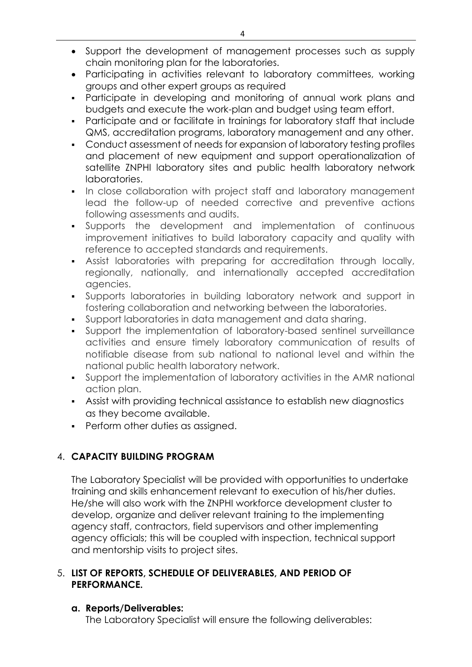- Support the development of management processes such as supply chain monitoring plan for the laboratories.
- Participating in activities relevant to laboratory committees, working groups and other expert groups as required
- Participate in developing and monitoring of annual work plans and budgets and execute the work-plan and budget using team effort.
- Participate and or facilitate in trainings for laboratory staff that include QMS, accreditation programs, laboratory management and any other.
- Conduct assessment of needs for expansion of laboratory testing profiles and placement of new equipment and support operationalization of satellite ZNPHI laboratory sites and public health laboratory network laboratories.
- **•** In close collaboration with project staff and laboratory management lead the follow-up of needed corrective and preventive actions following assessments and audits.
- Supports the development and implementation of continuous improvement initiatives to build laboratory capacity and quality with reference to accepted standards and requirements.
- **•** Assist laboratories with preparing for accreditation through locally, regionally, nationally, and internationally accepted accreditation agencies.
- Supports laboratories in building laboratory network and support in fostering collaboration and networking between the laboratories.
- Support laboratories in data management and data sharing.
- Support the implementation of laboratory-based sentinel surveillance activities and ensure timely laboratory communication of results of notifiable disease from sub national to national level and within the national public health laboratory network.
- Support the implementation of laboratory activities in the AMR national action plan.
- Assist with providing technical assistance to establish new diagnostics as they become available.
- Perform other duties as assigned.

# 4. **CAPACITY BUILDING PROGRAM**

The Laboratory Specialist will be provided with opportunities to undertake training and skills enhancement relevant to execution of his/her duties. He/she will also work with the ZNPHI workforce development cluster to develop, organize and deliver relevant training to the implementing agency staff, contractors, field supervisors and other implementing agency officials; this will be coupled with inspection, technical support and mentorship visits to project sites.

## 5. **LIST OF REPORTS, SCHEDULE OF DELIVERABLES, AND PERIOD OF PERFORMANCE.**

## **a. Reports/Deliverables:**

The Laboratory Specialist will ensure the following deliverables: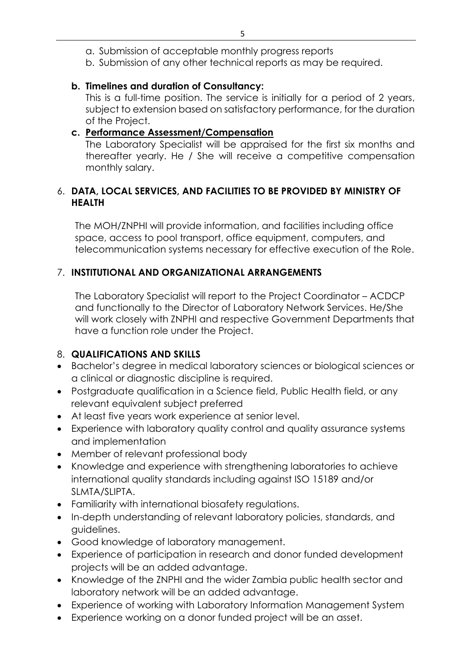- a. Submission of acceptable monthly progress reports
- b. Submission of any other technical reports as may be required.

## **b. Timelines and duration of Consultancy:**

This is a full-time position. The service is initially for a period of 2 years, subject to extension based on satisfactory performance, for the duration of the Project.

## **c. Performance Assessment/Compensation**

The Laboratory Specialist will be appraised for the first six months and thereafter yearly. He / She will receive a competitive compensation monthly salary.

## 6. **DATA, LOCAL SERVICES, AND FACILITIES TO BE PROVIDED BY MINISTRY OF HEALTH**

The MOH/ZNPHI will provide information, and facilities including office space, access to pool transport, office equipment, computers, and telecommunication systems necessary for effective execution of the Role.

# 7. **INSTITUTIONAL AND ORGANIZATIONAL ARRANGEMENTS**

The Laboratory Specialist will report to the Project Coordinator – ACDCP and functionally to the Director of Laboratory Network Services. He/She will work closely with ZNPHI and respective Government Departments that have a function role under the Project.

# 8. **QUALIFICATIONS AND SKILLS**

- Bachelor's degree in medical laboratory sciences or biological sciences or a clinical or diagnostic discipline is required.
- Postgraduate qualification in a Science field, Public Health field, or any relevant equivalent subject preferred
- At least five years work experience at senior level.
- Experience with laboratory quality control and quality assurance systems and implementation
- Member of relevant professional body
- Knowledge and experience with strengthening laboratories to achieve international quality standards including against ISO 15189 and/or SLMTA/SLIPTA.
- Familiarity with international biosafety regulations.
- In-depth understanding of relevant laboratory policies, standards, and guidelines.
- Good knowledge of laboratory management.
- Experience of participation in research and donor funded development projects will be an added advantage.
- Knowledge of the ZNPHI and the wider Zambia public health sector and laboratory network will be an added advantage.
- Experience of working with Laboratory Information Management System
- Experience working on a donor funded project will be an asset.